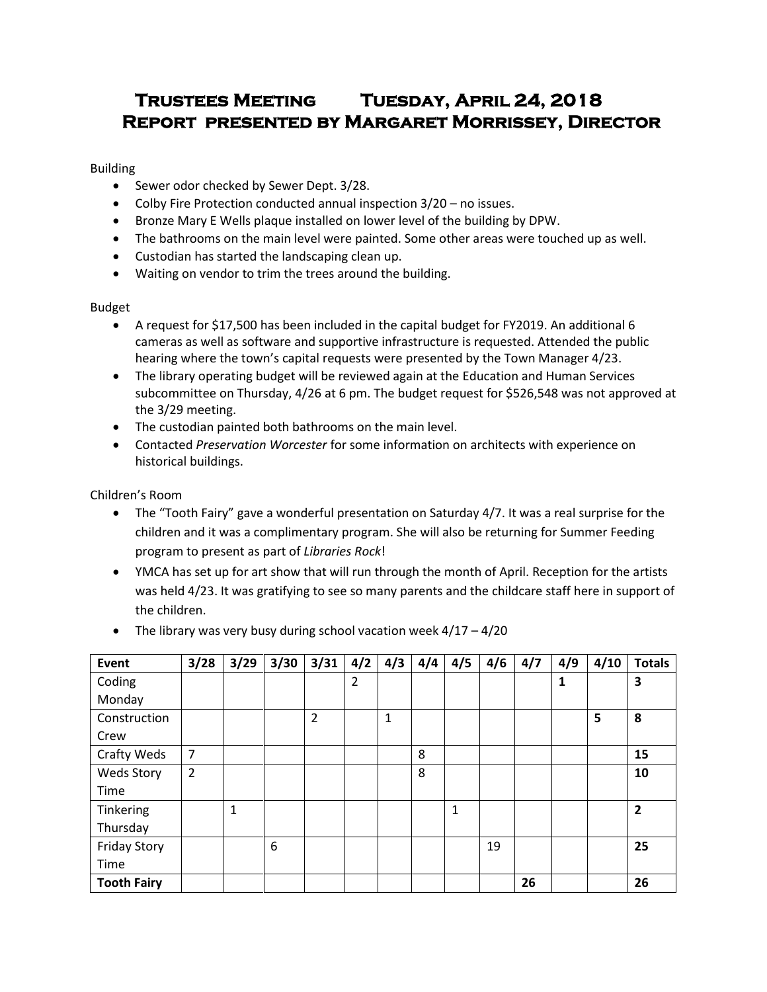# **Trustees Meeting Tuesday, April 24, 2018 Report presented by Margaret Morrissey, Director**

# Building

- Sewer odor checked by Sewer Dept. 3/28.
- Colby Fire Protection conducted annual inspection 3/20 no issues.
- Bronze Mary E Wells plaque installed on lower level of the building by DPW.
- The bathrooms on the main level were painted. Some other areas were touched up as well.
- Custodian has started the landscaping clean up.
- Waiting on vendor to trim the trees around the building.

# Budget

- A request for \$17,500 has been included in the capital budget for FY2019. An additional 6 cameras as well as software and supportive infrastructure is requested. Attended the public hearing where the town's capital requests were presented by the Town Manager 4/23.
- The library operating budget will be reviewed again at the Education and Human Services subcommittee on Thursday, 4/26 at 6 pm. The budget request for \$526,548 was not approved at the 3/29 meeting.
- The custodian painted both bathrooms on the main level.
- Contacted *Preservation Worcester* for some information on architects with experience on historical buildings.

Children's Room

- The "Tooth Fairy" gave a wonderful presentation on Saturday 4/7. It was a real surprise for the children and it was a complimentary program. She will also be returning for Summer Feeding program to present as part of *Libraries Rock*!
- YMCA has set up for art show that will run through the month of April. Reception for the artists was held 4/23. It was gratifying to see so many parents and the childcare staff here in support of the children.

| <b>Event</b>        | 3/28 | 3/29 | 3/30 | 3/31           | 4/2            | 4/3 | 4/4 | 4/5 | 4/6 | 4/7 | 4/9 | 4/10 | <b>Totals</b>  |
|---------------------|------|------|------|----------------|----------------|-----|-----|-----|-----|-----|-----|------|----------------|
| Coding              |      |      |      |                | $\overline{2}$ |     |     |     |     |     | 1   |      | 3              |
| Monday              |      |      |      |                |                |     |     |     |     |     |     |      |                |
| Construction        |      |      |      | $\overline{2}$ |                | 1   |     |     |     |     |     | 5    | 8              |
| Crew                |      |      |      |                |                |     |     |     |     |     |     |      |                |
| Crafty Weds         | 7    |      |      |                |                |     | 8   |     |     |     |     |      | 15             |
| <b>Weds Story</b>   | 2    |      |      |                |                |     | 8   |     |     |     |     |      | 10             |
| Time                |      |      |      |                |                |     |     |     |     |     |     |      |                |
| Tinkering           |      | 1    |      |                |                |     |     | 1   |     |     |     |      | $\overline{2}$ |
| Thursday            |      |      |      |                |                |     |     |     |     |     |     |      |                |
| <b>Friday Story</b> |      |      | 6    |                |                |     |     |     | 19  |     |     |      | 25             |
| Time                |      |      |      |                |                |     |     |     |     |     |     |      |                |
| <b>Tooth Fairy</b>  |      |      |      |                |                |     |     |     |     | 26  |     |      | 26             |

• The library was very busy during school vacation week  $4/17 - 4/20$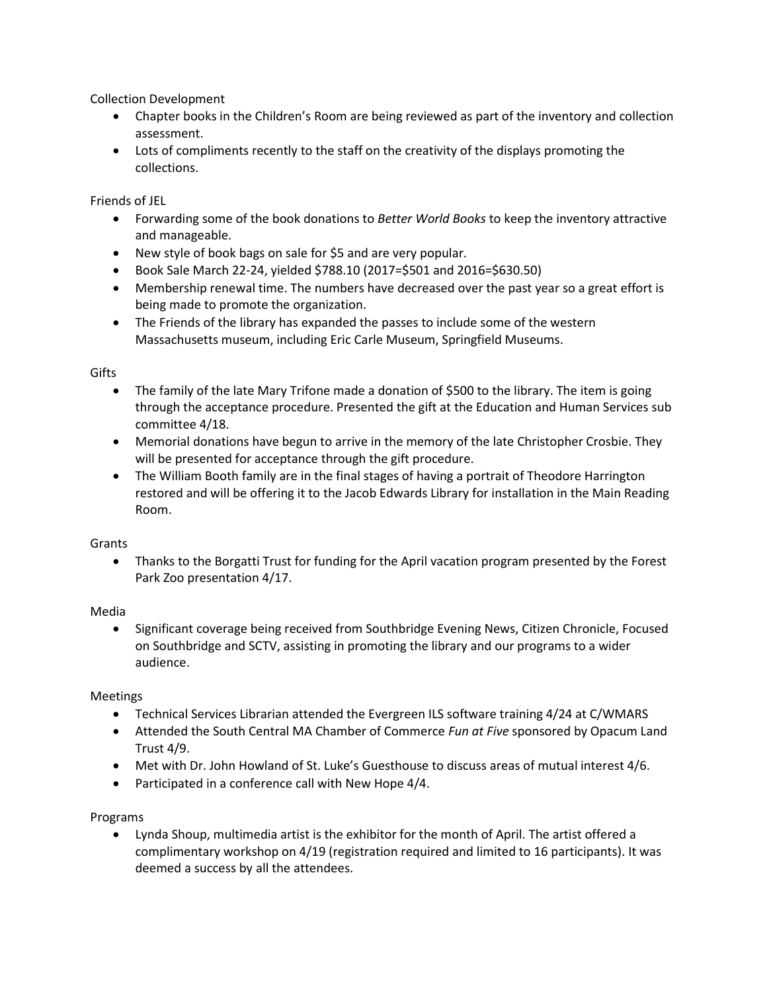Collection Development

- Chapter books in the Children's Room are being reviewed as part of the inventory and collection assessment.
- Lots of compliments recently to the staff on the creativity of the displays promoting the collections.

Friends of JEL

- Forwarding some of the book donations to *Better World Books* to keep the inventory attractive and manageable.
- New style of book bags on sale for \$5 and are very popular.
- Book Sale March 22-24, yielded \$788.10 (2017=\$501 and 2016=\$630.50)
- Membership renewal time. The numbers have decreased over the past year so a great effort is being made to promote the organization.
- The Friends of the library has expanded the passes to include some of the western Massachusetts museum, including Eric Carle Museum, Springfield Museums.

# Gifts

- The family of the late Mary Trifone made a donation of \$500 to the library. The item is going through the acceptance procedure. Presented the gift at the Education and Human Services sub committee 4/18.
- Memorial donations have begun to arrive in the memory of the late Christopher Crosbie. They will be presented for acceptance through the gift procedure.
- The William Booth family are in the final stages of having a portrait of Theodore Harrington restored and will be offering it to the Jacob Edwards Library for installation in the Main Reading Room.

# **Grants**

 Thanks to the Borgatti Trust for funding for the April vacation program presented by the Forest Park Zoo presentation 4/17.

# Media

 Significant coverage being received from Southbridge Evening News, Citizen Chronicle, Focused on Southbridge and SCTV, assisting in promoting the library and our programs to a wider audience.

# Meetings

- Technical Services Librarian attended the Evergreen ILS software training 4/24 at C/WMARS
- Attended the South Central MA Chamber of Commerce *Fun at Five* sponsored by Opacum Land Trust 4/9.
- Met with Dr. John Howland of St. Luke's Guesthouse to discuss areas of mutual interest 4/6.
- Participated in a conference call with New Hope 4/4.

# Programs

 Lynda Shoup, multimedia artist is the exhibitor for the month of April. The artist offered a complimentary workshop on 4/19 (registration required and limited to 16 participants). It was deemed a success by all the attendees.